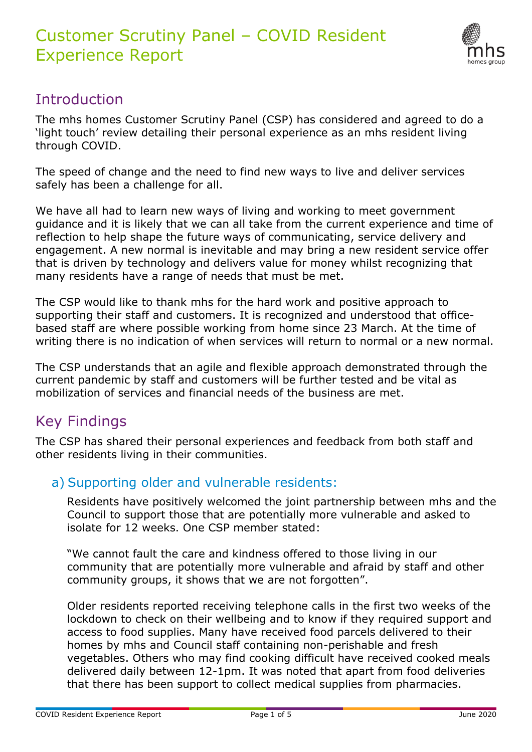# Customer Scrutiny Panel – COVID Resident Experience Report



# Introduction

The mhs homes Customer Scrutiny Panel (CSP) has considered and agreed to do a 'light touch' review detailing their personal experience as an mhs resident living through COVID.

The speed of change and the need to find new ways to live and deliver services safely has been a challenge for all.

We have all had to learn new ways of living and working to meet government guidance and it is likely that we can all take from the current experience and time of reflection to help shape the future ways of communicating, service delivery and engagement. A new normal is inevitable and may bring a new resident service offer that is driven by technology and delivers value for money whilst recognizing that many residents have a range of needs that must be met.

The CSP would like to thank mhs for the hard work and positive approach to supporting their staff and customers. It is recognized and understood that officebased staff are where possible working from home since 23 March. At the time of writing there is no indication of when services will return to normal or a new normal.

The CSP understands that an agile and flexible approach demonstrated through the current pandemic by staff and customers will be further tested and be vital as mobilization of services and financial needs of the business are met.

# Key Findings

The CSP has shared their personal experiences and feedback from both staff and other residents living in their communities.

### a) Supporting older and vulnerable residents:

Residents have positively welcomed the joint partnership between mhs and the Council to support those that are potentially more vulnerable and asked to isolate for 12 weeks. One CSP member stated:

"We cannot fault the care and kindness offered to those living in our community that are potentially more vulnerable and afraid by staff and other community groups, it shows that we are not forgotten".

Older residents reported receiving telephone calls in the first two weeks of the lockdown to check on their wellbeing and to know if they required support and access to food supplies. Many have received food parcels delivered to their homes by mhs and Council staff containing non-perishable and fresh vegetables. Others who may find cooking difficult have received cooked meals delivered daily between 12-1pm. It was noted that apart from food deliveries that there has been support to collect medical supplies from pharmacies.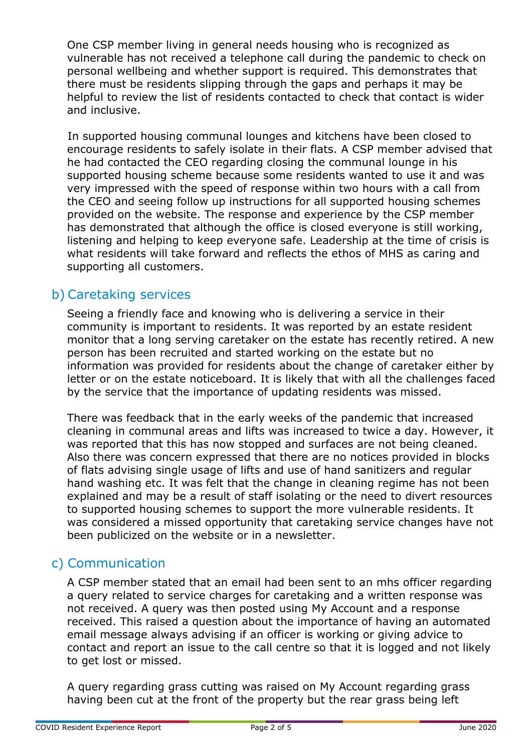One CSP member living in general needs housing who is recognized as vulnerable has not received a telephone call during the pandemic to check on personal wellbeing and whether support is required. This demonstrates that there must be residents slipping through the gaps and perhaps it may be helpful to review the list of residents contacted to check that contact is wider and inclusive.

In supported housing communal lounges and kitchens have been closed to encourage residents to safely isolate in their flats. A CSP member advised that he had contacted the CEO regarding closing the communal lounge in his supported housing scheme because some residents wanted to use it and was very impressed with the speed of response within two hours with a call from the CEO and seeing follow up instructions for all supported housing schemes provided on the website. The response and experience by the CSP member has demonstrated that although the office is closed everyone is still working, listening and helping to keep everyone safe. Leadership at the time of crisis is what residents will take forward and reflects the ethos of MHS as caring and supporting all customers.

### b) Caretaking services

Seeing a friendly face and knowing who is delivering a service in their community is important to residents. It was reported by an estate resident monitor that a long serving caretaker on the estate has recently retired. A new person has been recruited and started working on the estate but no information was provided for residents about the change of caretaker either by letter or on the estate noticeboard. It is likely that with all the challenges faced by the service that the importance of updating residents was missed.

There was feedback that in the early weeks of the pandemic that increased cleaning in communal areas and lifts was increased to twice a day. However, it was reported that this has now stopped and surfaces are not being cleaned. Also there was concern expressed that there are no notices provided in blocks of flats advising single usage of lifts and use of hand sanitizers and regular hand washing etc. It was felt that the change in cleaning regime has not been explained and may be a result of staff isolating or the need to divert resources to supported housing schemes to support the more vulnerable residents. It was considered a missed opportunity that caretaking service changes have not been publicized on the website or in a newsletter.

## c) Communication

A CSP member stated that an email had been sent to an mhs officer regarding a query related to service charges for caretaking and a written response was not received. A query was then posted using My Account and a response received. This raised a question about the importance of having an automated email message always advising if an officer is working or giving advice to contact and report an issue to the call centre so that it is logged and not likely to get lost or missed.

A query regarding grass cutting was raised on My Account regarding grass having been cut at the front of the property but the rear grass being left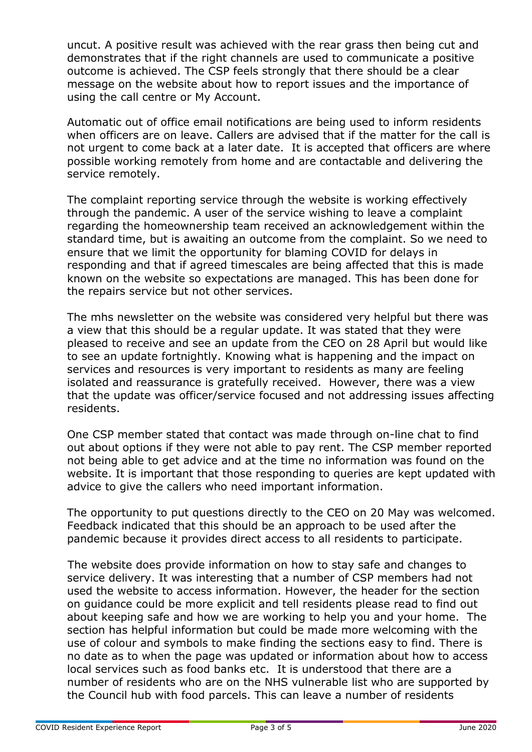uncut. A positive result was achieved with the rear grass then being cut and demonstrates that if the right channels are used to communicate a positive outcome is achieved. The CSP feels strongly that there should be a clear message on the website about how to report issues and the importance of using the call centre or My Account.

Automatic out of office email notifications are being used to inform residents when officers are on leave. Callers are advised that if the matter for the call is not urgent to come back at a later date. It is accepted that officers are where possible working remotely from home and are contactable and delivering the service remotely.

The complaint reporting service through the website is working effectively through the pandemic. A user of the service wishing to leave a complaint regarding the homeownership team received an acknowledgement within the standard time, but is awaiting an outcome from the complaint. So we need to ensure that we limit the opportunity for blaming COVID for delays in responding and that if agreed timescales are being affected that this is made known on the website so expectations are managed. This has been done for the repairs service but not other services.

The mhs newsletter on the website was considered very helpful but there was a view that this should be a regular update. It was stated that they were pleased to receive and see an update from the CEO on 28 April but would like to see an update fortnightly. Knowing what is happening and the impact on services and resources is very important to residents as many are feeling isolated and reassurance is gratefully received. However, there was a view that the update was officer/service focused and not addressing issues affecting residents.

One CSP member stated that contact was made through on-line chat to find out about options if they were not able to pay rent. The CSP member reported not being able to get advice and at the time no information was found on the website. It is important that those responding to queries are kept updated with advice to give the callers who need important information.

The opportunity to put questions directly to the CEO on 20 May was welcomed. Feedback indicated that this should be an approach to be used after the pandemic because it provides direct access to all residents to participate.

The website does provide information on how to stay safe and changes to service delivery. It was interesting that a number of CSP members had not used the website to access information. However, the header for the section on guidance could be more explicit and tell residents please read to find out about keeping safe and how we are working to help you and your home. The section has helpful information but could be made more welcoming with the use of colour and symbols to make finding the sections easy to find. There is no date as to when the page was updated or information about how to access local services such as food banks etc. It is understood that there are a number of residents who are on the NHS vulnerable list who are supported by the Council hub with food parcels. This can leave a number of residents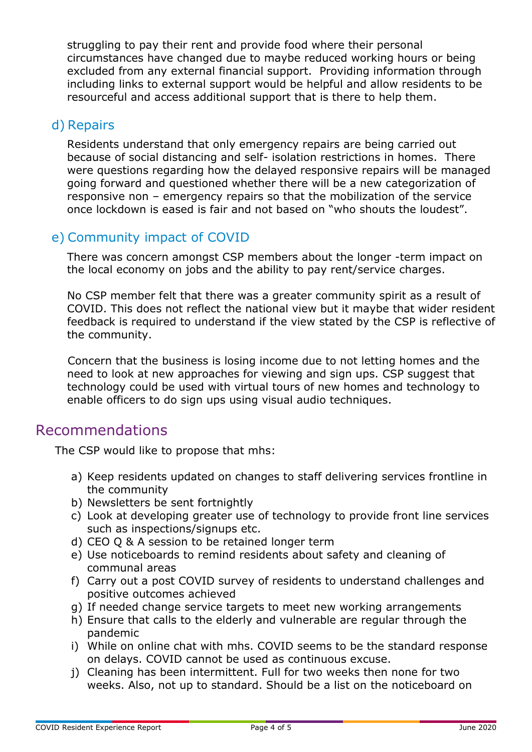struggling to pay their rent and provide food where their personal circumstances have changed due to maybe reduced working hours or being excluded from any external financial support. Providing information through including links to external support would be helpful and allow residents to be resourceful and access additional support that is there to help them.

#### d) Repairs

Residents understand that only emergency repairs are being carried out because of social distancing and self- isolation restrictions in homes. There were questions regarding how the delayed responsive repairs will be managed going forward and questioned whether there will be a new categorization of responsive non – emergency repairs so that the mobilization of the service once lockdown is eased is fair and not based on "who shouts the loudest".

### e) Community impact of COVID

There was concern amongst CSP members about the longer -term impact on the local economy on jobs and the ability to pay rent/service charges.

No CSP member felt that there was a greater community spirit as a result of COVID. This does not reflect the national view but it maybe that wider resident feedback is required to understand if the view stated by the CSP is reflective of the community.

Concern that the business is losing income due to not letting homes and the need to look at new approaches for viewing and sign ups. CSP suggest that technology could be used with virtual tours of new homes and technology to enable officers to do sign ups using visual audio techniques.

### Recommendations

The CSP would like to propose that mhs:

- a) Keep residents updated on changes to staff delivering services frontline in the community
- b) Newsletters be sent fortnightly
- c) Look at developing greater use of technology to provide front line services such as inspections/signups etc.
- d) CEO Q & A session to be retained longer term
- e) Use noticeboards to remind residents about safety and cleaning of communal areas
- f) Carry out a post COVID survey of residents to understand challenges and positive outcomes achieved
- g) If needed change service targets to meet new working arrangements
- h) Ensure that calls to the elderly and vulnerable are regular through the pandemic
- i) While on online chat with mhs. COVID seems to be the standard response on delays. COVID cannot be used as continuous excuse.
- j) Cleaning has been intermittent. Full for two weeks then none for two weeks. Also, not up to standard. Should be a list on the noticeboard on